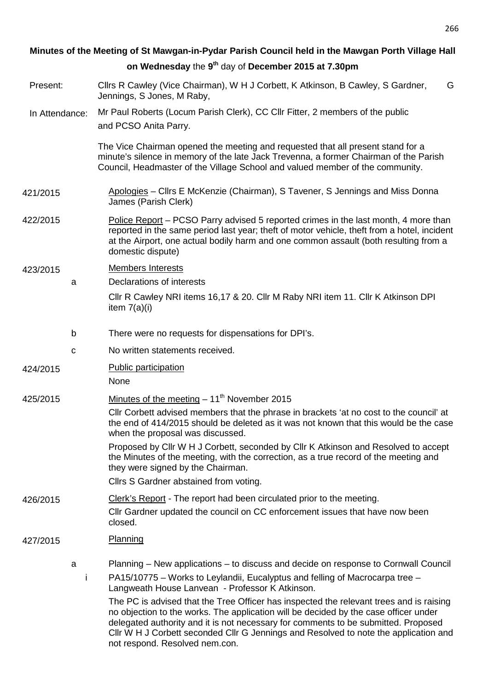|                | Minutes of the Meeting of St Mawgan-in-Pydar Parish Council held in the Mawgan Porth Village Hall                                                                                                                                                                                                                                                             |  |
|----------------|---------------------------------------------------------------------------------------------------------------------------------------------------------------------------------------------------------------------------------------------------------------------------------------------------------------------------------------------------------------|--|
|                | on Wednesday the 9 <sup>th</sup> day of December 2015 at 7.30pm                                                                                                                                                                                                                                                                                               |  |
| Present:       | Cllrs R Cawley (Vice Chairman), W H J Corbett, K Atkinson, B Cawley, S Gardner,<br>G<br>Jennings, S Jones, M Raby,                                                                                                                                                                                                                                            |  |
| In Attendance: | Mr Paul Roberts (Locum Parish Clerk), CC Cllr Fitter, 2 members of the public<br>and PCSO Anita Parry.                                                                                                                                                                                                                                                        |  |
|                | The Vice Chairman opened the meeting and requested that all present stand for a<br>minute's silence in memory of the late Jack Trevenna, a former Chairman of the Parish<br>Council, Headmaster of the Village School and valued member of the community.                                                                                                     |  |
| 421/2015       | Apologies - Cllrs E McKenzie (Chairman), S Tavener, S Jennings and Miss Donna<br>James (Parish Clerk)                                                                                                                                                                                                                                                         |  |
| 422/2015       | Police Report – PCSO Parry advised 5 reported crimes in the last month, 4 more than<br>reported in the same period last year; theft of motor vehicle, theft from a hotel, incident<br>at the Airport, one actual bodily harm and one common assault (both resulting from a<br>domestic dispute)                                                               |  |
| 423/2015       | <b>Members Interests</b>                                                                                                                                                                                                                                                                                                                                      |  |
| a              | Declarations of interests                                                                                                                                                                                                                                                                                                                                     |  |
|                | CIIr R Cawley NRI items 16,17 & 20. CIIr M Raby NRI item 11. CIIr K Atkinson DPI<br>item $7(a)(i)$                                                                                                                                                                                                                                                            |  |
| b              | There were no requests for dispensations for DPI's.                                                                                                                                                                                                                                                                                                           |  |
| с              | No written statements received.                                                                                                                                                                                                                                                                                                                               |  |
| 424/2015       | <b>Public participation</b><br>None                                                                                                                                                                                                                                                                                                                           |  |
| 425/2015       | Minutes of the meeting $-11^{th}$ November 2015                                                                                                                                                                                                                                                                                                               |  |
|                | Cllr Corbett advised members that the phrase in brackets 'at no cost to the council' at<br>the end of 414/2015 should be deleted as it was not known that this would be the case<br>when the proposal was discussed.                                                                                                                                          |  |
|                | Proposed by Cllr W H J Corbett, seconded by Cllr K Atkinson and Resolved to accept<br>the Minutes of the meeting, with the correction, as a true record of the meeting and<br>they were signed by the Chairman.                                                                                                                                               |  |
|                | Cllrs S Gardner abstained from voting.                                                                                                                                                                                                                                                                                                                        |  |
| 426/2015       | Clerk's Report - The report had been circulated prior to the meeting.<br>Cllr Gardner updated the council on CC enforcement issues that have now been<br>closed.                                                                                                                                                                                              |  |
| 427/2015       | <b>Planning</b>                                                                                                                                                                                                                                                                                                                                               |  |
| a              | Planning – New applications – to discuss and decide on response to Cornwall Council                                                                                                                                                                                                                                                                           |  |
|                | PA15/10775 – Works to Leylandii, Eucalyptus and felling of Macrocarpa tree –<br>Ť<br>Langweath House Lanvean - Professor K Atkinson.                                                                                                                                                                                                                          |  |
|                | The PC is advised that the Tree Officer has inspected the relevant trees and is raising<br>no objection to the works. The application will be decided by the case officer under<br>delegated authority and it is not necessary for comments to be submitted. Proposed<br>CIIr W H J Corbett seconded CIIr G Jennings and Resolved to note the application and |  |

not respond. Resolved nem.con.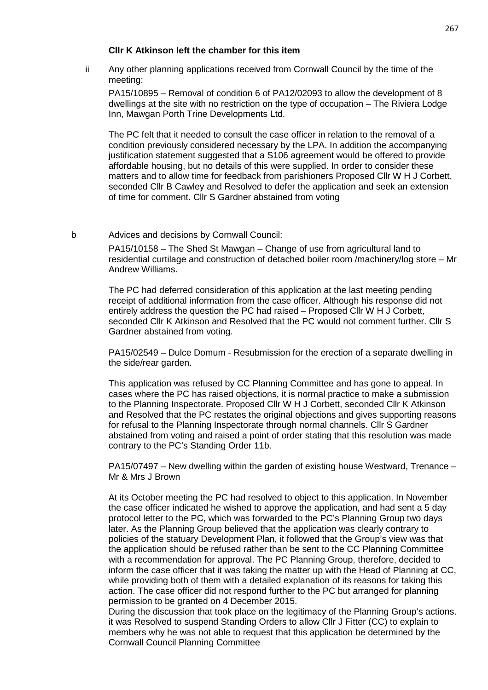## **Cllr K Atkinson left the chamber for this item**

ii Any other planning applications received from Cornwall Council by the time of the meeting:

PA15/10895 – Removal of condition 6 of PA12/02093 to allow the development of 8 dwellings at the site with no restriction on the type of occupation – The Riviera Lodge Inn, Mawgan Porth Trine Developments Ltd.

The PC felt that it needed to consult the case officer in relation to the removal of a condition previously considered necessary by the LPA. In addition the accompanying justification statement suggested that a S106 agreement would be offered to provide affordable housing, but no details of this were supplied. In order to consider these matters and to allow time for feedback from parishioners Proposed Cllr W H J Corbett, seconded Cllr B Cawley and Resolved to defer the application and seek an extension of time for comment. Cllr S Gardner abstained from voting

#### b Advices and decisions by Cornwall Council:

PA15/10158 – The Shed St Mawgan – Change of use from agricultural land to residential curtilage and construction of detached boiler room /machinery/log store – Mr Andrew Williams.

The PC had deferred consideration of this application at the last meeting pending receipt of additional information from the case officer. Although his response did not entirely address the question the PC had raised – Proposed Cllr W H J Corbett, seconded Cllr K Atkinson and Resolved that the PC would not comment further. Cllr S Gardner abstained from voting.

PA15/02549 – Dulce Domum - Resubmission for the erection of a separate dwelling in the side/rear garden.

This application was refused by CC Planning Committee and has gone to appeal. In cases where the PC has raised objections, it is normal practice to make a submission to the Planning Inspectorate. Proposed Cllr W H J Corbett, seconded Cllr K Atkinson and Resolved that the PC restates the original objections and gives supporting reasons for refusal to the Planning Inspectorate through normal channels. Cllr S Gardner abstained from voting and raised a point of order stating that this resolution was made contrary to the PC's Standing Order 11b.

PA15/07497 – New dwelling within the garden of existing house Westward, Trenance – Mr & Mrs J Brown

At its October meeting the PC had resolved to object to this application. In November the case officer indicated he wished to approve the application, and had sent a 5 day protocol letter to the PC, which was forwarded to the PC's Planning Group two days later. As the Planning Group believed that the application was clearly contrary to policies of the statuary Development Plan, it followed that the Group's view was that the application should be refused rather than be sent to the CC Planning Committee with a recommendation for approval. The PC Planning Group, therefore, decided to inform the case officer that it was taking the matter up with the Head of Planning at CC, while providing both of them with a detailed explanation of its reasons for taking this action. The case officer did not respond further to the PC but arranged for planning permission to be granted on 4 December 2015.

During the discussion that took place on the legitimacy of the Planning Group's actions. it was Resolved to suspend Standing Orders to allow Cllr J Fitter (CC) to explain to members why he was not able to request that this application be determined by the Cornwall Council Planning Committee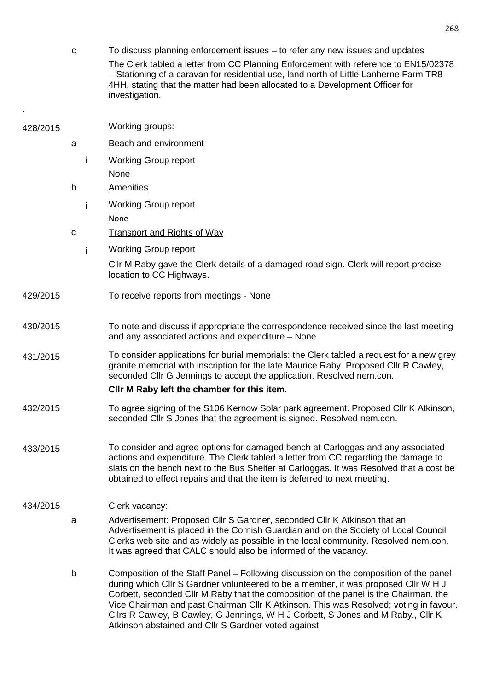c To discuss planning enforcement issues – to refer any new issues and updates The Clerk tabled a letter from CC Planning Enforcement with reference to EN15/02378 – Stationing of a caravan for residential use, land north of Little Lanherne Farm TR8 4HH, stating that the matter had been allocated to a Development Officer for investigation.

**.** 

| 428/2015 |             |    | Working groups:                                                                                                                                                                                                                                                                                                                                                                                                                                                                                          |
|----------|-------------|----|----------------------------------------------------------------------------------------------------------------------------------------------------------------------------------------------------------------------------------------------------------------------------------------------------------------------------------------------------------------------------------------------------------------------------------------------------------------------------------------------------------|
|          | a           |    | <b>Beach and environment</b>                                                                                                                                                                                                                                                                                                                                                                                                                                                                             |
|          |             | İ. | <b>Working Group report</b>                                                                                                                                                                                                                                                                                                                                                                                                                                                                              |
|          |             |    | None                                                                                                                                                                                                                                                                                                                                                                                                                                                                                                     |
|          | b           |    | <b>Amenities</b>                                                                                                                                                                                                                                                                                                                                                                                                                                                                                         |
|          |             | i  | <b>Working Group report</b>                                                                                                                                                                                                                                                                                                                                                                                                                                                                              |
|          |             |    | None                                                                                                                                                                                                                                                                                                                                                                                                                                                                                                     |
|          | $\mathbf C$ |    | <b>Transport and Rights of Way</b>                                                                                                                                                                                                                                                                                                                                                                                                                                                                       |
|          |             | i. | <b>Working Group report</b>                                                                                                                                                                                                                                                                                                                                                                                                                                                                              |
|          |             |    | CIIr M Raby gave the Clerk details of a damaged road sign. Clerk will report precise<br>location to CC Highways.                                                                                                                                                                                                                                                                                                                                                                                         |
| 429/2015 |             |    | To receive reports from meetings - None                                                                                                                                                                                                                                                                                                                                                                                                                                                                  |
| 430/2015 |             |    | To note and discuss if appropriate the correspondence received since the last meeting<br>and any associated actions and expenditure - None                                                                                                                                                                                                                                                                                                                                                               |
| 431/2015 |             |    | To consider applications for burial memorials: the Clerk tabled a request for a new grey<br>granite memorial with inscription for the late Maurice Raby. Proposed Cllr R Cawley,<br>seconded Cllr G Jennings to accept the application. Resolved nem.con.<br>CIIr M Raby left the chamber for this item.                                                                                                                                                                                                 |
| 432/2015 |             |    | To agree signing of the S106 Kernow Solar park agreement. Proposed Cllr K Atkinson,                                                                                                                                                                                                                                                                                                                                                                                                                      |
|          |             |    | seconded Cllr S Jones that the agreement is signed. Resolved nem.con.                                                                                                                                                                                                                                                                                                                                                                                                                                    |
| 433/2015 |             |    | To consider and agree options for damaged bench at Carloggas and any associated<br>actions and expenditure. The Clerk tabled a letter from CC regarding the damage to<br>slats on the bench next to the Bus Shelter at Carloggas. It was Resolved that a cost be<br>obtained to effect repairs and that the item is deferred to next meeting.                                                                                                                                                            |
| 434/2015 |             |    | Clerk vacancy:                                                                                                                                                                                                                                                                                                                                                                                                                                                                                           |
|          | a           |    | Advertisement: Proposed Cllr S Gardner, seconded Cllr K Atkinson that an<br>Advertisement is placed in the Cornish Guardian and on the Society of Local Council<br>Clerks web site and as widely as possible in the local community. Resolved nem.con.<br>It was agreed that CALC should also be informed of the vacancy.                                                                                                                                                                                |
|          | b           |    | Composition of the Staff Panel – Following discussion on the composition of the panel<br>during which Cllr S Gardner volunteered to be a member, it was proposed Cllr W H J<br>Corbett, seconded Cllr M Raby that the composition of the panel is the Chairman, the<br>Vice Chairman and past Chairman Cllr K Atkinson. This was Resolved; voting in favour.<br>Cllrs R Cawley, B Cawley, G Jennings, W H J Corbett, S Jones and M Raby., Cllr K<br>Atkinson abstained and Cllr S Gardner voted against. |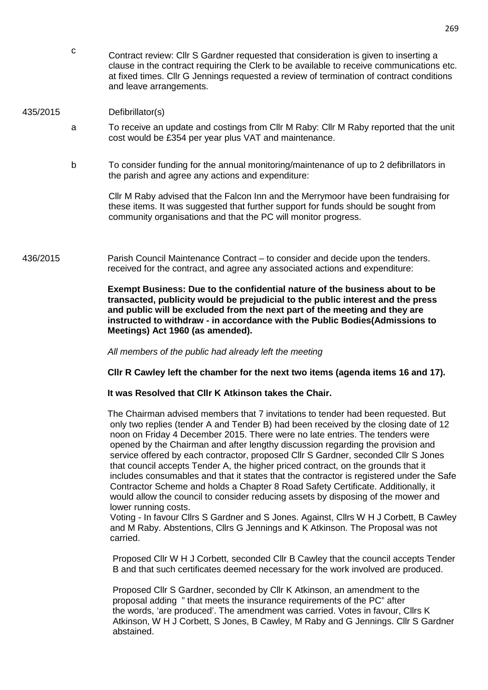c Contract review: Cllr S Gardner requested that consideration is given to inserting a clause in the contract requiring the Clerk to be available to receive communications etc. at fixed times. Cllr G Jennings requested a review of termination of contract conditions and leave arrangements.

## 435/2015 Defibrillator(s)

- a To receive an update and costings from Cllr M Raby: Cllr M Raby reported that the unit cost would be £354 per year plus VAT and maintenance.
- b To consider funding for the annual monitoring/maintenance of up to 2 defibrillators in the parish and agree any actions and expenditure:

Cllr M Raby advised that the Falcon Inn and the Merrymoor have been fundraising for these items. It was suggested that further support for funds should be sought from community organisations and that the PC will monitor progress.

436/2015 Parish Council Maintenance Contract – to consider and decide upon the tenders. received for the contract, and agree any associated actions and expenditure:

> **Exempt Business: Due to the confidential nature of the business about to be transacted, publicity would be prejudicial to the public interest and the press and public will be excluded from the next part of the meeting and they are instructed to withdraw - in accordance with the Public Bodies(Admissions to Meetings) Act 1960 (as amended).**

All members of the public had already left the meeting

**Cllr R Cawley left the chamber for the next two items (agenda items 16 and 17).** 

## **It was Resolved that Cllr K Atkinson takes the Chair.**

 The Chairman advised members that 7 invitations to tender had been requested. But only two replies (tender A and Tender B) had been received by the closing date of 12 noon on Friday 4 December 2015. There were no late entries. The tenders were opened by the Chairman and after lengthy discussion regarding the provision and service offered by each contractor, proposed Cllr S Gardner, seconded Cllr S Jones that council accepts Tender A, the higher priced contract, on the grounds that it includes consumables and that it states that the contractor is registered under the Safe Contractor Scheme and holds a Chapter 8 Road Safety Certificate. Additionally, it would allow the council to consider reducing assets by disposing of the mower and lower running costs.

 Voting - In favour Cllrs S Gardner and S Jones. Against, Cllrs W H J Corbett, B Cawley and M Raby. Abstentions, Cllrs G Jennings and K Atkinson. The Proposal was not carried.

 Proposed Cllr W H J Corbett, seconded Cllr B Cawley that the council accepts Tender B and that such certificates deemed necessary for the work involved are produced.

 Proposed Cllr S Gardner, seconded by Cllr K Atkinson, an amendment to the proposal adding " that meets the insurance requirements of the PC" after the words, 'are produced'. The amendment was carried. Votes in favour, Cllrs K Atkinson, W H J Corbett, S Jones, B Cawley, M Raby and G Jennings. Cllr S Gardner abstained.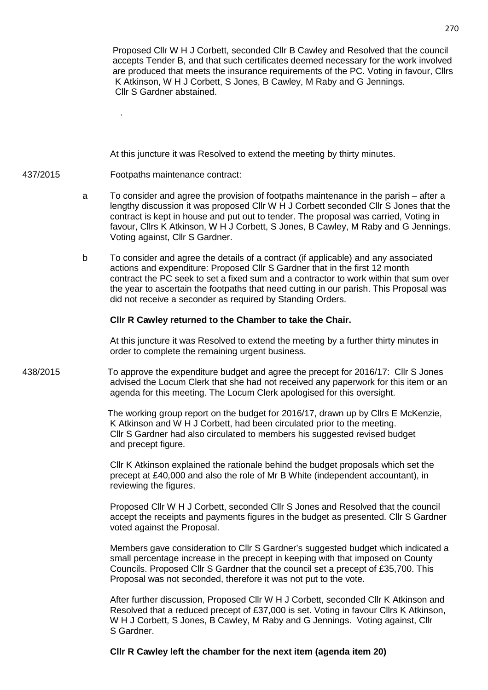Proposed Cllr W H J Corbett, seconded Cllr B Cawley and Resolved that the council accepts Tender B, and that such certificates deemed necessary for the work involved are produced that meets the insurance requirements of the PC. Voting in favour, Cllrs K Atkinson, W H J Corbett, S Jones, B Cawley, M Raby and G Jennings. Cllr S Gardner abstained.

At this juncture it was Resolved to extend the meeting by thirty minutes.

# 437/2015 Footpaths maintenance contract:

.

- a To consider and agree the provision of footpaths maintenance in the parish after a lengthy discussion it was proposed Cllr W H J Corbett seconded Cllr S Jones that the contract is kept in house and put out to tender. The proposal was carried, Voting in favour, Cllrs K Atkinson, W H J Corbett, S Jones, B Cawley, M Raby and G Jennings. Voting against, Cllr S Gardner.
- b To consider and agree the details of a contract (if applicable) and any associated actions and expenditure: Proposed Cllr S Gardner that in the first 12 month contract the PC seek to set a fixed sum and a contractor to work within that sum over the year to ascertain the footpaths that need cutting in our parish. This Proposal was did not receive a seconder as required by Standing Orders.

## **Cllr R Cawley returned to the Chamber to take the Chair.**

 At this juncture it was Resolved to extend the meeting by a further thirty minutes in order to complete the remaining urgent business.

438/2015 To approve the expenditure budget and agree the precept for 2016/17: Cllr S Jones advised the Locum Clerk that she had not received any paperwork for this item or an agenda for this meeting. The Locum Clerk apologised for this oversight.

> The working group report on the budget for 2016/17, drawn up by Cllrs E McKenzie, K Atkinson and W H J Corbett, had been circulated prior to the meeting. Cllr S Gardner had also circulated to members his suggested revised budget and precept figure.

 Cllr K Atkinson explained the rationale behind the budget proposals which set the precept at £40,000 and also the role of Mr B White (independent accountant), in reviewing the figures.

 Proposed Cllr W H J Corbett, seconded Cllr S Jones and Resolved that the council accept the receipts and payments figures in the budget as presented. Cllr S Gardner voted against the Proposal.

 Members gave consideration to Cllr S Gardner's suggested budget which indicated a small percentage increase in the precept in keeping with that imposed on County Councils. Proposed Cllr S Gardner that the council set a precept of £35,700. This Proposal was not seconded, therefore it was not put to the vote.

 After further discussion, Proposed Cllr W H J Corbett, seconded Cllr K Atkinson and Resolved that a reduced precept of £37,000 is set. Voting in favour Cllrs K Atkinson, W H J Corbett, S Jones, B Cawley, M Raby and G Jennings. Voting against, Cllr S Gardner.

**Cllr R Cawley left the chamber for the next item (agenda item 20)**